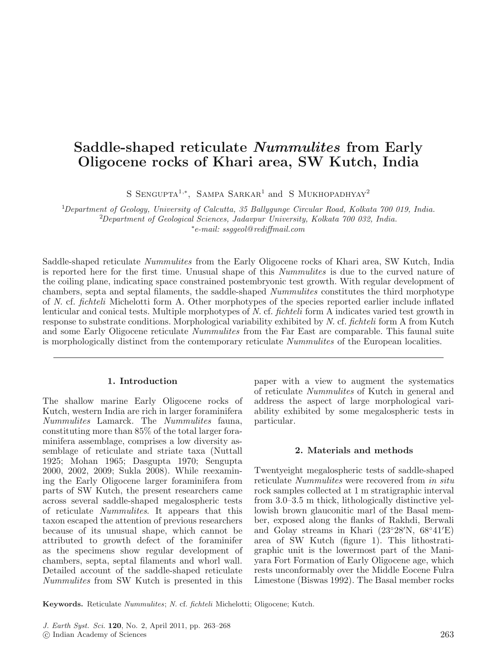# **Saddle-shaped reticulate** *Nummulites* **from Early Oligocene rocks of Khari area, SW Kutch, India**

S SENGUPTA<sup>1,\*</sup>, SAMPA SARKAR<sup>1</sup> and S MUKHOPADHYAY<sup>2</sup>

<sup>1</sup>Department of Geology, University of Calcutta, 35 Ballygunge Circular Road, Kolkata 700 019, India. 2 Department of Geological Sciences, Jadavpur University, Kolkata 700 032, India. ∗ e-mail: ssggeol@rediffmail.com

Saddle-shaped reticulate Nummulites from the Early Oligocene rocks of Khari area, SW Kutch, India is reported here for the first time. Unusual shape of this Nummulites is due to the curved nature of the coiling plane, indicating space constrained postembryonic test growth. With regular development of chambers, septa and septal filaments, the saddle-shaped Nummulites constitutes the third morphotype of N. cf. fichteli Michelotti form A. Other morphotypes of the species reported earlier include inflated lenticular and conical tests. Multiple morphotypes of N. cf. fichteli form A indicates varied test growth in response to substrate conditions. Morphological variability exhibited by N. cf. fichteli form A from Kutch and some Early Oligocene reticulate *Nummulites* from the Far East are comparable. This faunal suite is morphologically distinct from the contemporary reticulate Nummulites of the European localities.

### **1. Introduction**

The shallow marine Early Oligocene rocks of Kutch, western India are rich in larger foraminifera Nummulites Lamarck. The Nummulites fauna, constituting more than 85% of the total larger foraminifera assemblage, comprises a low diversity assemblage of reticulate and striate taxa (Nuttall 1925; Mohan 1965; Dasgupta 1970; Sengupta 2000, 2002, 2009; Sukla 2008). While reexamining the Early Oligocene larger foraminifera from parts of SW Kutch, the present researchers came across several saddle-shaped megalospheric tests of reticulate Nummulites. It appears that this taxon escaped the attention of previous researchers because of its unusual shape, which cannot be attributed to growth defect of the foraminifer as the specimens show regular development of chambers, septa, septal filaments and whorl wall. Detailed account of the saddle-shaped reticulate Nummulites from SW Kutch is presented in this paper with a view to augment the systematics of reticulate Nummulites of Kutch in general and address the aspect of large morphological variability exhibited by some megalospheric tests in particular.

### **2. Materials and methods**

Twentyeight megalospheric tests of saddle-shaped reticulate Nummulites were recovered from in situ rock samples collected at 1 m stratigraphic interval from 3.0–3.5 m thick, lithologically distinctive yellowish brown glauconitic marl of the Basal member, exposed along the flanks of Rakhdi, Berwali and Golay streams in Khari (23◦28 N, 68◦41 E) area of SW Kutch (figure 1). This lithostratigraphic unit is the lowermost part of the Maniyara Fort Formation of Early Oligocene age, which rests unconformably over the Middle Eocene Fulra Limestone (Biswas 1992). The Basal member rocks

**Keywords.** Reticulate Nummulites; N. cf. fichteli Michelotti; Oligocene; Kutch.

J. Earth Syst. Sci. **120**, No. 2, April 2011, pp. 263–268

<sup>-</sup>c Indian Academy of Sciences 263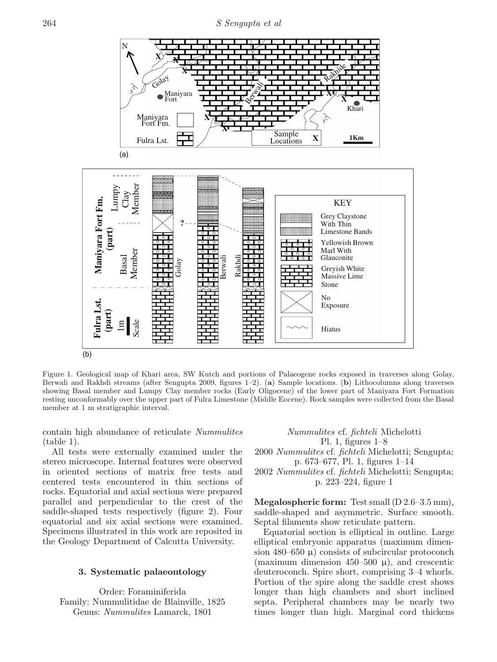

Figure 1. Geological map of Khari area, SW Kutch and portions of Palaeogene rocks exposed in traverses along Golay, Berwali and Rakhdi streams (after Sengupta 2009, figures 1–2). (**a**) Sample locations. (**b**) Lithocolumns along traverses showing Basal member and Lumpy Clay member rocks (Early Oligocene) of the lower part of Maniyara Fort Formation resting unconformably over the upper part of Fulra Limestone (Middle Eocene). Rock samples were collected from the Basal member at 1 m stratigraphic interval.

contain high abundance of reticulate Nummulites (table 1).

All tests were externally examined under the stereo microscope. Internal features were observed in oriented sections of matrix free tests and centered tests encountered in thin sections of rocks. Equatorial and axial sections were prepared parallel and perpendicular to the crest of the saddle-shaped tests respectively (figure 2). Four equatorial and six axial sections were examined. Specimens illustrated in this work are reposited in the Geology Department of Calcutta University.

# **3. Systematic palaeontology**

Order: Foraminiferida Family: Nummulitidae de Blainville, 1825 Genus: Nummulites Lamarck, 1801

Nummulites cf. fichteli Michelotti Pl. 1, figures 1–8 2000 Nummulites cf. fichteli Michelotti; Sengupta; p. 673–677, Pl. 1, figures 1–14 2002 Nummulites cf. fichteli Michelotti; Sengupta;

p. 223–224, figure 1

**Megalospheric form:** Test small (D 2.6–3.5 mm), saddle-shaped and asymmetric. Surface smooth. Septal filaments show reticulate pattern.

Equatorial section is elliptical in outline. Large elliptical embryonic apparatus (maximum dimension 480–650  $\mu$ ) consists of subcircular protoconch (maximum dimension 450–500  $\mu$ ), and crescentic deuteroconch. Spire short, comprising 3–4 whorls. Portion of the spire along the saddle crest shows longer than high chambers and short inclined septa. Peripheral chambers may be nearly two times longer than high. Marginal cord thickens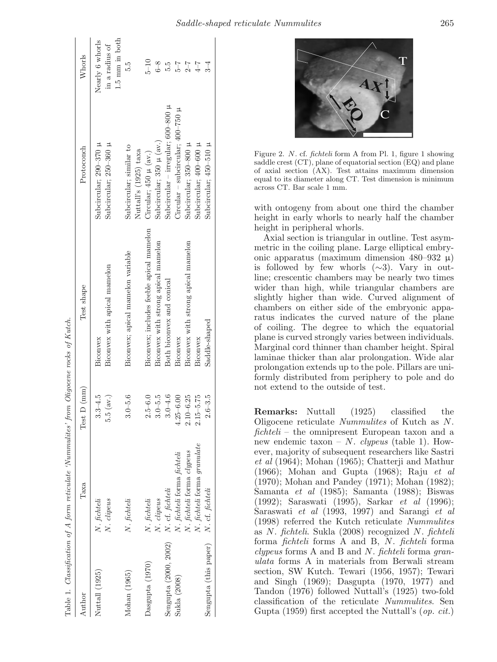| Author                | Таха                        | Test $D$ (mm)                          | Test shape                               | Protoconch                               | Whorls                   |
|-----------------------|-----------------------------|----------------------------------------|------------------------------------------|------------------------------------------|--------------------------|
| Nuttall (1925)        | N. fichteli                 | $3.3 - 4.5$                            | Biconvex                                 | Subcircular; $290-370 \mu$               | Nearly 6 whorls          |
|                       | N. clipeus                  | $\left(\mathrm{av.}\right)$<br>c.<br>S | Biconvex with apical mamelon             | Subcircular; 250-360 µ                   | in a radius of           |
|                       |                             |                                        |                                          |                                          | $1.5 \text{ mm}$ in both |
| Mohan (1965)          | N. fichteli                 | $3.0 - 5.6$                            | Biconvex; apical mamelon variable        | Subcircular; similar to                  | 5.5                      |
|                       |                             |                                        |                                          | Nuttall's (1925) taxa                    |                          |
| Dasgupta (1970)       | N. fichteli                 | $2.5 - 6.0$                            | Biconvex; includes feeble apical mamelon | Circular; $450 \mu$ (av.)                | $5 - 10$                 |
|                       | N. clipeus                  | $3.0 - 5.5$                            | Biconvex with strong apical mamelon      | Subcircular; 350 µ (av.)                 | $6-8$                    |
| Sengupta (2000, 2002) | N. cf. fichteli             | $3.0 - 4.6$                            | Both biconvex and conical                | Subcircular – irregular; 600–800 $\upmu$ | 5.9                      |
| Sukla (2008)          | N. fichteli forma fichteli  | $4.25 - 6.00$                          | Biconvex                                 | Circular – subcircular; $400-750~\mu$    | $\frac{1}{9}$            |
|                       | N. fichteli forma clypeus   | $2.10 - 6.25$                          | Biconvex with strong apical mamelon      | Subcircular; 350-800 µ                   | $2 - 7$                  |
|                       | N. fichteli forma granulate | $2.15 - 5.75$                          | Biconvex                                 | Subcircular; 400-600 µ                   | $4-\overline{7}$         |
| Sengupta (this paper) | N. cf. fichteli             | $2.6 - 3.5$                            | Saddle-shaped                            | Subcircular; $450-510$ $\mu$             | $3\hbox{--}4$            |



Figure 2. *N*. cf. *fichteli* form A from Pl. 1, figure 1 showing saddle crest (CT), plane of equatorial section (EQ) and plane of axial section (AX). Test attains maximum dimension equal to its diameter along CT. Test dimension is minimum across CT. Bar scale 1 mm.

with ontogeny from about one third the chamber height in early whorls to nearly half the chamber height in peripheral whorls.

Axial section is triangular in outline. Test asymmetric in the coiling plane. Large elliptical embryonic apparatus (maximum dimension 480–932  $\mu$ ) is followed by few whorls  $(\sim 3)$ . Vary in outline; crescentic chambers may be nearly two times wider than high, while triangular chambers are slightly higher than wide. Curved alignment of chambers on either side of the embryonic apparatus indicates the curved nature of the plane of coiling. The degree to which the equatorial plane is curved strongly varies between individuals. Marginal cord thinner than chamber height. Spiral laminae thicker than alar prolongation. Wide alar prolongation extends up to the pole. Pillars are uniformly distributed from periphery to pole and do not extend to the outside of test.

**Remarks:** Nuttall (1925) classified the Oligocene reticulate Nummulites of Kutch as N.  $fichteli$  – the omnipresent European taxon and a new endemic taxon – N. *clypeus* (table 1). However, majority of subsequent researchers like Sastri et al (1964); Mohan (1965); Chatterji and Mathur (1966); Mohan and Gupta (1968); Raju et al (1970); Mohan and Pandey (1971); Mohan (1982); Samanta et al (1985); Samanta (1988); Biswas (1992); Saraswati (1995), Sarkar et al (1996); Saraswati et al (1993, 1997) and Sarangi et al (1998) referred the Kutch reticulate Nummulites as N. fichteli. Sukla (2008) recognized N. fichteli forma fichteli forms A and B, N. fichteli forma clypeus forms A and B and N. fichteli forma granulata forms A in materials from Berwali stream section, SW Kutch. Tewari (1956, 1957); Tewari and Singh (1969); Dasgupta (1970, 1977) and Tandon (1976) followed Nuttall's (1925) two-fold classification of the reticulate Nummulites. Sen Gupta (1959) first accepted the Nuttall's (op. cit.)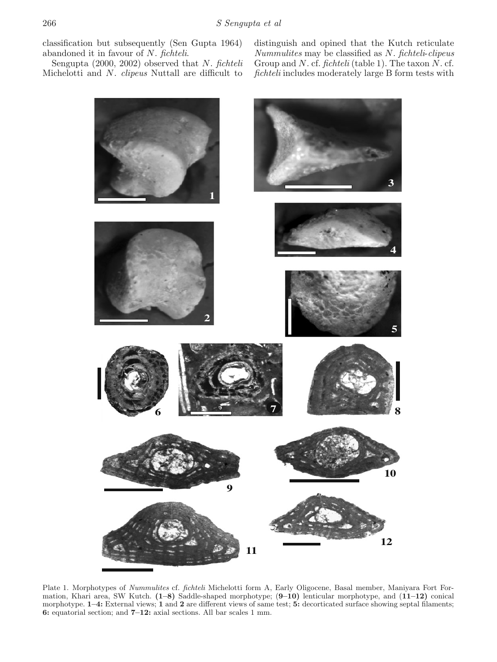classification but subsequently (Sen Gupta 1964) abandoned it in favour of N. fichteli.

Sengupta  $(2000, 2002)$  observed that N. fichteli Michelotti and N. clipeus Nuttall are difficult to

distinguish and opined that the Kutch reticulate Nummulites may be classified as N. fichteli-clipeus Group and N. cf. fichteli (table 1). The taxon  $N$ . cf. fichteli includes moderately large B form tests with



Plate 1. Morphotypes of Nummulites cf. fichteli Michelotti form A, Early Oligocene, Basal member, Maniyara Fort Formation, Khari area, SW Kutch. **(1–8)** Saddle-shaped morphotype; (**9–10)** lenticular morphotype, and (**11–12)** conical morphotype. **1–4:** External views; **1** and **2** are different views of same test; **5:** decorticated surface showing septal filaments; **6:** equatorial section; and **7–12:** axial sections. All bar scales 1 mm.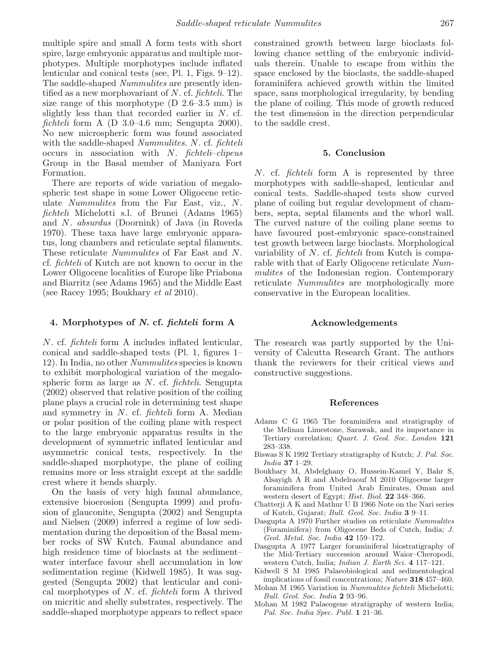multiple spire and small A form tests with short spire, large embryonic apparatus and multiple morphotypes. Multiple morphotypes include inflated lenticular and conical tests (see, Pl. 1, Figs. 9–12). The saddle-shaped *Nummulites* are presently identified as a new morphovariant of  $N$ . cf. *fichteli*. The size range of this morphotype  $(D \ 2.6-3.5 \ mm)$  is slightly less than that recorded earlier in N. cf. fichteli form A (D 3.0–4.6 mm; Sengupta 2000). No new microspheric form was found associated with the saddle-shaped *Nummulites. N. cf. fichteli* occurs in association with  $N$ . fichteli–clipeus Group in the Basal member of Maniyara Fort Formation.

There are reports of wide variation of megalospheric test shape in some Lower Oligocene reticulate Nummulites from the Far East, viz., N. fichteli Michelotti s.l. of Brunei (Adams 1965) and N. absurdus (Doornink) of Java (in Roveda 1970). These taxa have large embryonic apparatus, long chambers and reticulate septal filaments. These reticulate Nummulites of Far East and N. cf. fichteli of Kutch are not known to occur in the Lower Oligocene localities of Europe like Priabona and Biarritz (see Adams 1965) and the Middle East (see Racey 1995; Boukhary *et al* 2010).

# **4. Morphotypes of** *N***. cf.** *fichteli* **form A**

N. cf. fichteli form A includes inflated lenticular, conical and saddle-shaped tests (Pl. 1, figures 1– 12). In India, no other Nummulites species is known to exhibit morphological variation of the megalospheric form as large as N. cf. fichteli. Sengupta (2002) observed that relative position of the coiling plane plays a crucial role in determining test shape and symmetry in N. cf. fichteli form A. Median or polar position of the coiling plane with respect to the large embryonic apparatus results in the development of symmetric inflated lenticular and asymmetric conical tests, respectively. In the saddle-shaped morphotype, the plane of coiling remains more or less straight except at the saddle crest where it bends sharply.

On the basis of very high faunal abundance, extensive bioerosion (Sengupta 1999) and profusion of glauconite, Sengupta (2002) and Sengupta and Nielsen (2009) inferred a regime of low sedimentation during the deposition of the Basal member rocks of SW Kutch. Faunal abundance and high residence time of bioclasts at the sediment– water interface favour shell accumulation in low sedimentation regime (Kidwell 1985). It was suggested (Sengupta 2002) that lenticular and conical morphotypes of N. cf. fichteli form A thrived on micritic and shelly substrates, respectively. The saddle-shaped morphotype appears to reflect space

constrained growth between large bioclasts following chance settling of the embryonic individuals therein. Unable to escape from within the space enclosed by the bioclasts, the saddle-shaped foraminifera achieved growth within the limited space, sans morphological irregularity, by bending the plane of coiling. This mode of growth reduced the test dimension in the direction perpendicular to the saddle crest.

#### **5. Conclusion**

N. cf. fichteli form A is represented by three morphotypes with saddle-shaped, lenticular and conical tests. Saddle-shaped tests show curved plane of coiling but regular development of chambers, septa, septal filaments and the whorl wall. The curved nature of the coiling plane seems to have favoured post-embryonic space-constrained test growth between large bioclasts. Morphological variability of N. cf. *fichteli* from Kutch is comparable with that of Early Oligocene reticulate Nummulites of the Indonesian region. Contemporary reticulate Nummulites are morphologically more conservative in the European localities.

## **Acknowledgements**

The research was partly supported by the University of Calcutta Research Grant. The authors thank the reviewers for their critical views and constructive suggestions.

#### **References**

- Adams C G 1965 The foraminifera and stratigraphy of the Melinau Limestone, Sarawak, and its importance in Tertiary correlation; Quart. J. Geol. Soc. London **121** 283–338.
- Biswas S K 1992 Tertiary stratigraphy of Kutch; J. Pal. Soc. India **37** 1–29.
- Boukhary M, Abdelghany O, Hussein-Kamel Y, Bahr S, Alsayigh A R and Abdelraouf M 2010 Oligocene larger foraminifera from United Arab Emirates, Oman and western desert of Egypt; Hist. Biol. **22** 348–366.
- Chatterji A K and Mathur U B 1966 Note on the Nari series of Kutch, Gujarat; Bull. Geol. Soc. India **3** 9–11.
- Dasgupta A 1970 Further studies on reticulate Nummulites (Foraminifera) from Oligocene Beds of Cutch, India; J. Geol. Metal. Soc. India **42** 159–172.
- Dasgupta A 1977 Larger foraminiferal biostratigraphy of the Mid-Tertiary succession around Waior–Cheropodi, western Cutch, India; Indian J. Earth Sci. **4** 117–121.
- Kidwell S M 1985 Palaeobiological and sedimentological implications of fossil concentrations; Nature **318** 457–460.
- Mohan M 1965 Variation in Nummulites fichteli Michelotti; Bull. Geol. Soc. India **2** 93–96.
- Mohan M 1982 Palaeogene stratigraphy of western India; Pal. Soc. India Spec. Publ. **1** 21–36.